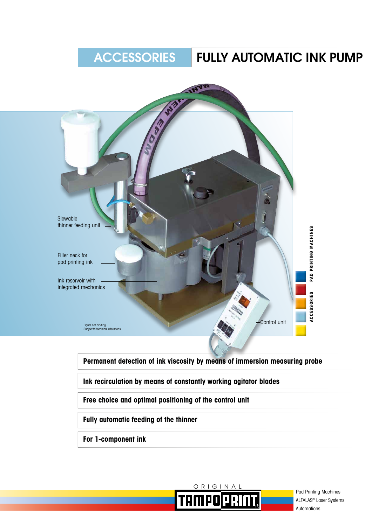# ACCESSORIES | FULLY AUTOMATIC INK PUMP





Pad Printing Machines ALFALAS® Laser Systems Automations